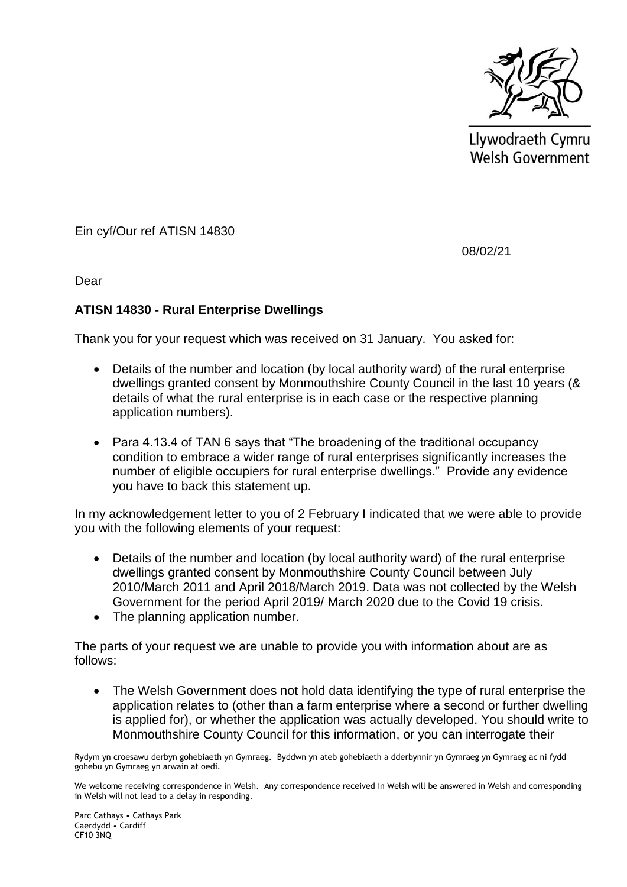

Llywodraeth Cymru Welsh Government

Ein cyf/Our ref ATISN 14830

08/02/21

Dear

### **ATISN 14830 - Rural Enterprise Dwellings**

Thank you for your request which was received on 31 January. You asked for:

- Details of the number and location (by local authority ward) of the rural enterprise dwellings granted consent by Monmouthshire County Council in the last 10 years (& details of what the rural enterprise is in each case or the respective planning application numbers).
- Para 4.13.4 of TAN 6 says that "The broadening of the traditional occupancy condition to embrace a wider range of rural enterprises significantly increases the number of eligible occupiers for rural enterprise dwellings." Provide any evidence you have to back this statement up.

In my acknowledgement letter to you of 2 February I indicated that we were able to provide you with the following elements of your request:

- Details of the number and location (by local authority ward) of the rural enterprise dwellings granted consent by Monmouthshire County Council between July 2010/March 2011 and April 2018/March 2019. Data was not collected by the Welsh Government for the period April 2019/ March 2020 due to the Covid 19 crisis.
- The planning application number.

The parts of your request we are unable to provide you with information about are as follows:

 The Welsh Government does not hold data identifying the type of rural enterprise the application relates to (other than a farm enterprise where a second or further dwelling is applied for), or whether the application was actually developed. You should write to Monmouthshire County Council for this information, or you can interrogate their

Rydym yn croesawu derbyn gohebiaeth yn Gymraeg. Byddwn yn ateb gohebiaeth a dderbynnir yn Gymraeg yn Gymraeg ac ni fydd gohebu yn Gymraeg yn arwain at oedi.

We welcome receiving correspondence in Welsh. Any correspondence received in Welsh will be answered in Welsh and corresponding in Welsh will not lead to a delay in responding.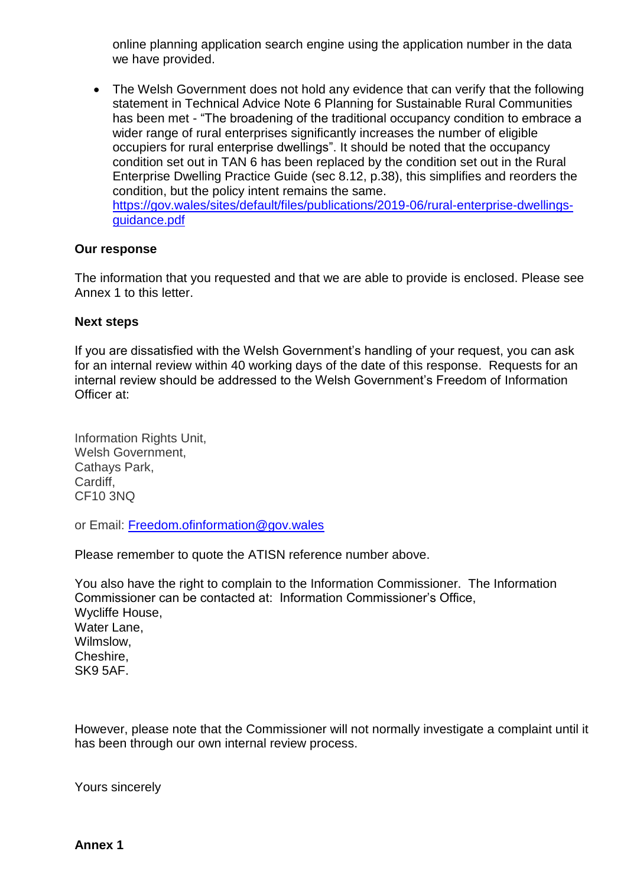online planning application search engine using the application number in the data we have provided.

 The Welsh Government does not hold any evidence that can verify that the following statement in Technical Advice Note 6 Planning for Sustainable Rural Communities has been met - "The broadening of the traditional occupancy condition to embrace a wider range of rural enterprises significantly increases the number of eligible occupiers for rural enterprise dwellings". It should be noted that the occupancy condition set out in TAN 6 has been replaced by the condition set out in the Rural Enterprise Dwelling Practice Guide (sec 8.12, p.38), this simplifies and reorders the condition, but the policy intent remains the same. [https://gov.wales/sites/default/files/publications/2019-06/rural-enterprise-dwellings](https://gov.wales/sites/default/files/publications/2019-06/rural-enterprise-dwellings-guidance.pdf)[guidance.pdf](https://gov.wales/sites/default/files/publications/2019-06/rural-enterprise-dwellings-guidance.pdf)

#### **Our response**

The information that you requested and that we are able to provide is enclosed. Please see Annex 1 to this letter.

#### **Next steps**

If you are dissatisfied with the Welsh Government's handling of your request, you can ask for an internal review within 40 working days of the date of this response. Requests for an internal review should be addressed to the Welsh Government's Freedom of Information Officer at:

Information Rights Unit, Welsh Government, Cathays Park, Cardiff, CF10 3NQ

or Email: [Freedom.ofinformation@gov.wales](mailto:Freedom.ofinformation@gov.wales)

Please remember to quote the ATISN reference number above.

You also have the right to complain to the Information Commissioner. The Information Commissioner can be contacted at: Information Commissioner's Office, Wycliffe House, Water Lane, Wilmslow, Cheshire, SK9 5AF.

However, please note that the Commissioner will not normally investigate a complaint until it has been through our own internal review process.

Yours sincerely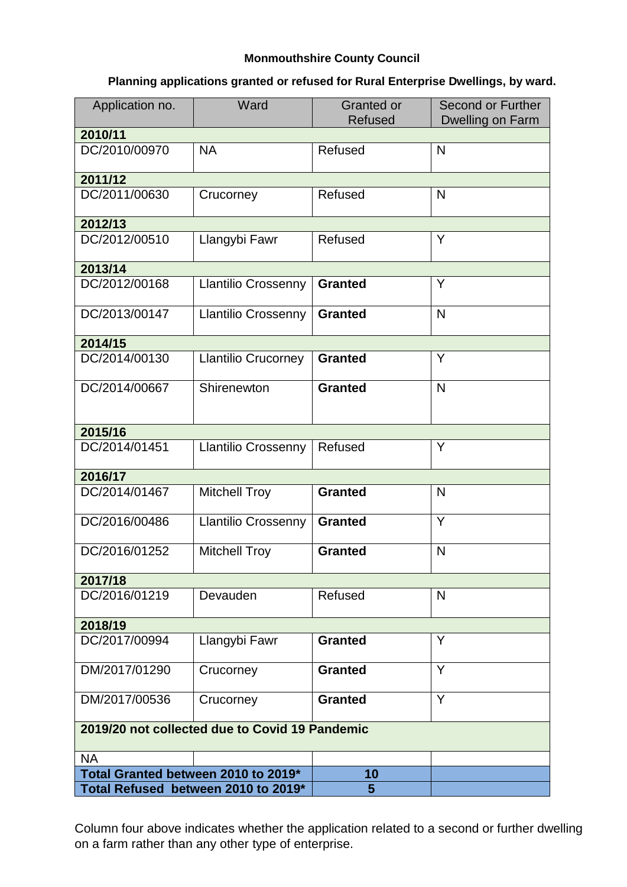### **Monmouthshire County Council**

## **Planning applications granted or refused for Rural Enterprise Dwellings, by ward.**

| Application no.                                | Ward                       | <b>Granted or</b><br><b>Refused</b> | Second or Further<br>Dwelling on Farm |
|------------------------------------------------|----------------------------|-------------------------------------|---------------------------------------|
| 2010/11                                        |                            |                                     |                                       |
| DC/2010/00970                                  | <b>NA</b>                  | Refused                             | N                                     |
| 2011/12                                        |                            |                                     |                                       |
| DC/2011/00630                                  | Crucorney                  | Refused                             | N                                     |
| 2012/13                                        |                            |                                     |                                       |
| DC/2012/00510                                  | Llangybi Fawr              | Refused                             | Y                                     |
| 2013/14                                        |                            |                                     |                                       |
| DC/2012/00168                                  | <b>Llantilio Crossenny</b> | <b>Granted</b>                      | Y                                     |
| DC/2013/00147                                  | <b>Llantilio Crossenny</b> | <b>Granted</b>                      | N                                     |
| 2014/15                                        |                            |                                     |                                       |
| DC/2014/00130                                  | <b>Llantilio Crucorney</b> | <b>Granted</b>                      | Y                                     |
| DC/2014/00667                                  | Shirenewton                | <b>Granted</b>                      | $\mathsf{N}$                          |
| 2015/16                                        |                            |                                     |                                       |
| DC/2014/01451                                  | <b>Llantilio Crossenny</b> | Refused                             | Y                                     |
| 2016/17                                        |                            |                                     |                                       |
| DC/2014/01467                                  | <b>Mitchell Troy</b>       | <b>Granted</b>                      | N                                     |
| DC/2016/00486                                  | <b>Llantilio Crossenny</b> | <b>Granted</b>                      | Y                                     |
| DC/2016/01252                                  | <b>Mitchell Troy</b>       | <b>Granted</b>                      | N                                     |
| 2017/18                                        |                            |                                     |                                       |
| DC/2016/01219                                  | Devauden                   | Refused                             | N                                     |
| 2018/19                                        |                            |                                     |                                       |
| DC/2017/00994                                  | Llangybi Fawr              | <b>Granted</b>                      | Y                                     |
| DM/2017/01290                                  | Crucorney                  | <b>Granted</b>                      | Y                                     |
| DM/2017/00536                                  | Crucorney                  | <b>Granted</b>                      | Y                                     |
| 2019/20 not collected due to Covid 19 Pandemic |                            |                                     |                                       |
| <b>NA</b>                                      |                            |                                     |                                       |
| Total Granted between 2010 to 2019*            |                            | 10                                  |                                       |
| Total Refused between 2010 to 2019*            |                            | 5                                   |                                       |

Column four above indicates whether the application related to a second or further dwelling on a farm rather than any other type of enterprise.